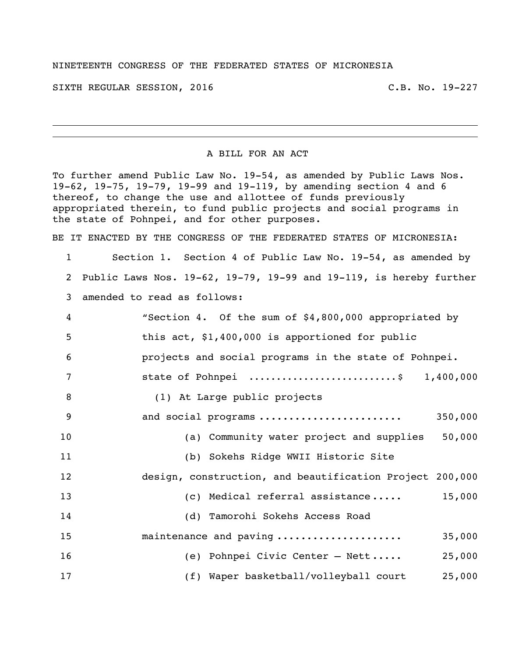## NINETEENTH CONGRESS OF THE FEDERATED STATES OF MICRONESIA

SIXTH REGULAR SESSION, 2016 C.B. No. 19-227

## A BILL FOR AN ACT

To further amend Public Law No. 19-54, as amended by Public Laws Nos. 19-62, 19-75, 19-79, 19-99 and 19-119, by amending section 4 and 6 thereof, to change the use and allottee of funds previously appropriated therein, to fund public projects and social programs in the state of Pohnpei, and for other purposes.

BE IT ENACTED BY THE CONGRESS OF THE FEDERATED STATES OF MICRONESIA:

 Section 1. Section 4 of Public Law No. 19-54, as amended by Public Laws Nos. 19-62, 19-79, 19-99 and 19-119, is hereby further amended to read as follows:

| $\overline{4}$ | "Section 4. Of the sum of \$4,800,000 appropriated by    |
|----------------|----------------------------------------------------------|
| 5              | this act, \$1,400,000 is apportioned for public          |
| 6              | projects and social programs in the state of Pohnpei.    |
| 7              | state of Pohnpei \$ 1,400,000                            |
| 8              | (1) At Large public projects                             |
| 9              | 350,000<br>and social programs                           |
| 10             | (a) Community water project and supplies<br>50,000       |
| 11             | (b) Sokehs Ridge WWII Historic Site                      |
| 12             | design, construction, and beautification Project 200,000 |
| 13             | 15,000<br>(c) Medical referral assistance                |
| 14             | (d) Tamorohi Sokehs Access Road                          |
| 15             | maintenance and paving<br>35,000                         |
| 16             | 25,000<br>(e) Pohnpei Civic Center - Nett                |
| 17             | (f) Waper basketball/volleyball court<br>25,000          |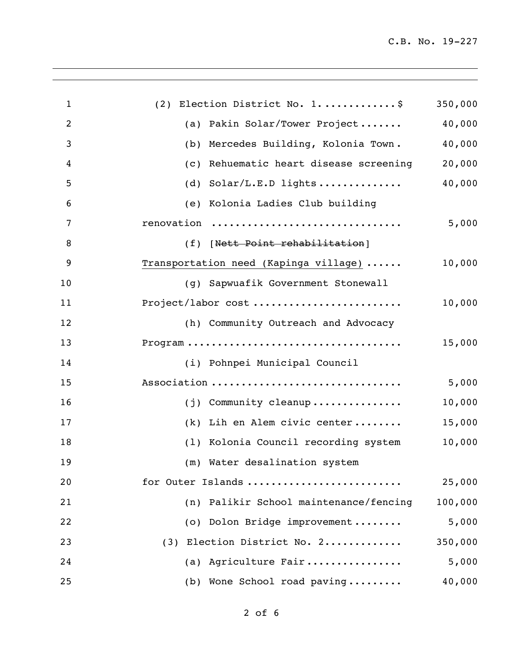| $\mathbf{1}$   | (2) Election District No. 1\$                           | 350,000 |
|----------------|---------------------------------------------------------|---------|
| $\overline{2}$ | (a) Pakin Solar/Tower Project                           | 40,000  |
| 3              | Mercedes Building, Kolonia Town.<br>(b)                 | 40,000  |
| $\overline{4}$ | Rehuematic heart disease screening<br>$\left( c\right)$ | 20,000  |
| 5              | (d) $Solar/L.E.D$ lights                                | 40,000  |
| 6              | (e) Kolonia Ladies Club building                        |         |
| 7              | renovation                                              | 5,000   |
| 8              | (f) [Nett Point rehabilitation]                         |         |
| 9              | Transportation need (Kapinga village)                   | 10,000  |
| 10             | (g) Sapwuafik Government Stonewall                      |         |
| 11             | Project/labor cost                                      | 10,000  |
| 12             | (h) Community Outreach and Advocacy                     |         |
| 13             |                                                         | 15,000  |
| 14             | (i) Pohnpei Municipal Council                           |         |
| 15             | Association                                             | 5,000   |
| 16             | (j) Community cleanup                                   | 10,000  |
| 17             | (k) Lih en Alem civic center                            | 15,000  |
| 18             | (1) Kolonia Council recording system                    | 10,000  |
| 19             | (m) Water desalination system                           |         |
| 20             | for Outer Islands                                       | 25,000  |
| 21             | (n) Palikir School maintenance/fencing                  | 100,000 |
| 22             | (o) Dolon Bridge improvement                            | 5,000   |
| 23             | (3) Election District No. 2                             | 350,000 |
| 24             | (a) Agriculture Fair                                    | 5,000   |
| 25             | (b) Wone School road paving                             | 40,000  |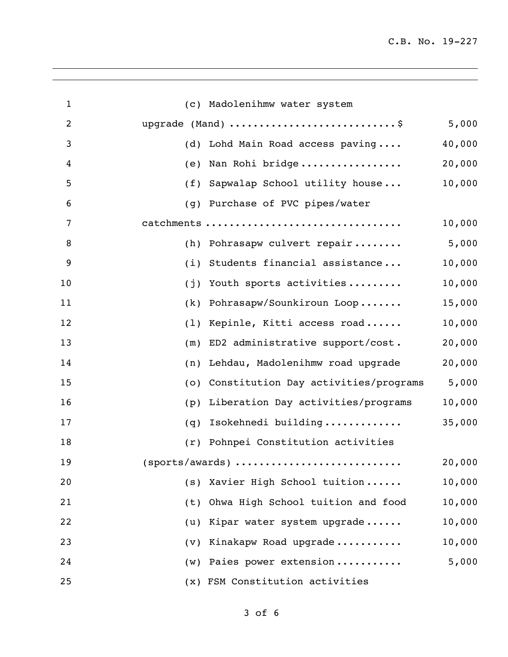| $\mathbf{1}$   | (c) Madolenihmw water system                         |
|----------------|------------------------------------------------------|
| $\overline{2}$ | upgrade (Mand) \$<br>5,000                           |
| 3              | 40,000<br>(d) Lohd Main Road access paving           |
| 4              | 20,000<br>Nan Rohi bridge<br>(e)                     |
| 5              | 10,000<br>Sapwalap School utility house<br>(f)       |
| 6              | (g) Purchase of PVC pipes/water                      |
| 7              | 10,000<br>catchments                                 |
| 8              | 5,000<br>(h) Pohrasapw culvert repair                |
| 9              | 10,000<br>Students financial assistance<br>(i)       |
| 10             | 10,000<br>Youth sports activities<br>(j)             |
| 11             | 15,000<br>Pohrasapw/Sounkiroun Loop<br>(k)           |
| 12             | 10,000<br>Kepinle, Kitti access road<br>(1)          |
| 13             | 20,000<br>ED2 administrative support/cost.<br>(m)    |
| 14             | 20,000<br>Lehdau, Madolenihmw road upgrade<br>(n)    |
| 15             | 5,000<br>Constitution Day activities/programs<br>(0) |
| 16             | 10,000<br>Liberation Day activities/programs<br>(p)  |
| 17             | 35,000<br>Isokehnedi building<br>(q)                 |
| 18             | Pohnpei Constitution activities<br>(r)               |
| 19             | 20,000<br>(sports/awards)                            |
| 20             | (s) Xavier High School tuition<br>10,000             |
| 21             | Ohwa High School tuition and food<br>10,000<br>(t)   |
| 22             | Kipar water system upgrade<br>10,000<br>(u)          |
| 23             | Kinakapw Road upgrade<br>10,000<br>(v)               |
| 24             | 5,000<br>(w) Paies power extension                   |
| 25             | (x) FSM Constitution activities                      |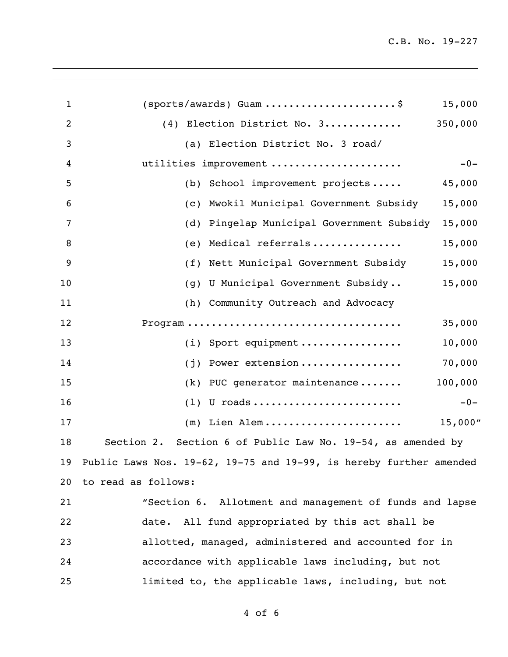| 1  | (sports/awards) Guam \$                                               | 15,000   |
|----|-----------------------------------------------------------------------|----------|
| 2  | (4) Election District No. 3                                           | 350,000  |
| 3  | (a) Election District No. 3 road/                                     |          |
| 4  | utilities improvement                                                 | $-0-$    |
| 5  | School improvement projects<br>(b)                                    | 45,000   |
| 6  | Mwokil Municipal Government Subsidy<br>(C)                            | 15,000   |
| 7  | Pingelap Municipal Government Subsidy<br>(d)                          | 15,000   |
| 8  | Medical referrals<br>(e)                                              | 15,000   |
| 9  | (f) Nett Municipal Government Subsidy                                 | 15,000   |
| 10 | U Municipal Government Subsidy<br>(q)                                 | 15,000   |
| 11 | (h) Community Outreach and Advocacy                                   |          |
| 12 |                                                                       | 35,000   |
| 13 | (i) Sport equipment                                                   | 10,000   |
| 14 | Power extension<br>(i)                                                | 70,000   |
| 15 | (k) PUC generator maintenance                                         | 100,000  |
| 16 | $(1)$ U roads                                                         | $-0-$    |
| 17 | $(m)$ Lien Alem                                                       | 15,000'' |
| 18 | Section 6 of Public Law No. 19-54, as amended by<br>Section 2.        |          |
|    | 19 Public Laws Nos. 19-62, 19-75 and 19-99, is hereby further amended |          |
|    | 20 to read as follows:                                                |          |
| 21 | "Section 6. Allotment and management of funds and lapse               |          |
| 22 | date. All fund appropriated by this act shall be                      |          |
| 23 | allotted, managed, administered and accounted for in                  |          |
| 24 | accordance with applicable laws including, but not                    |          |
| 25 | limited to, the applicable laws, including, but not                   |          |
|    |                                                                       |          |

of 6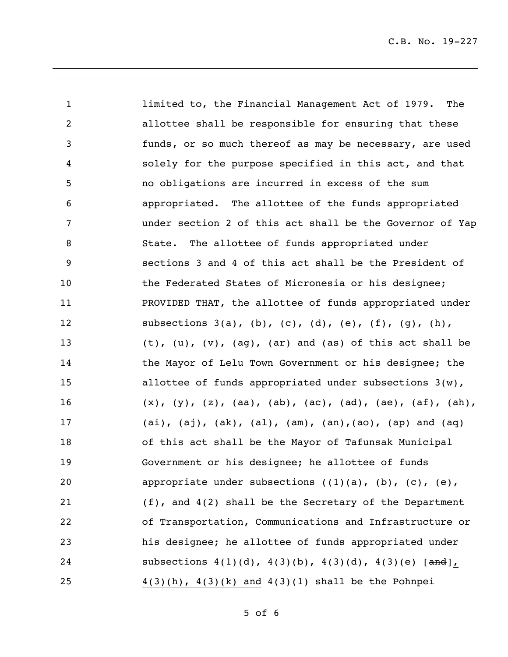limited to, the Financial Management Act of 1979. The allottee shall be responsible for ensuring that these funds, or so much thereof as may be necessary, are used solely for the purpose specified in this act, and that no obligations are incurred in excess of the sum appropriated. The allottee of the funds appropriated under section 2 of this act shall be the Governor of Yap State. The allottee of funds appropriated under sections 3 and 4 of this act shall be the President of the Federated States of Micronesia or his designee; PROVIDED THAT, the allottee of funds appropriated under 12 subsections 3(a), (b), (c), (d), (e), (f), (g), (h), (t), (u), (v), (ag), (ar) and (as) of this act shall be the Mayor of Lelu Town Government or his designee; the allottee of funds appropriated under subsections 3(w), (x), (y), (z), (aa), (ab), (ac), (ad), (ae), (af), (ah), (ai), (aj), (ak), (al), (am), (an),(ao), (ap) and (aq) of this act shall be the Mayor of Tafunsak Municipal Government or his designee; he allottee of funds 20 appropriate under subsections  $((1)(a), (b), (c), (e),$  (f), and 4(2) shall be the Secretary of the Department of Transportation, Communications and Infrastructure or his designee; he allottee of funds appropriated under 24 subsections 4(1)(d), 4(3)(b), 4(3)(d), 4(3)(e) [and],  $4(3)(h)$ ,  $4(3)(k)$  and  $4(3)(1)$  shall be the Pohnpei

of 6